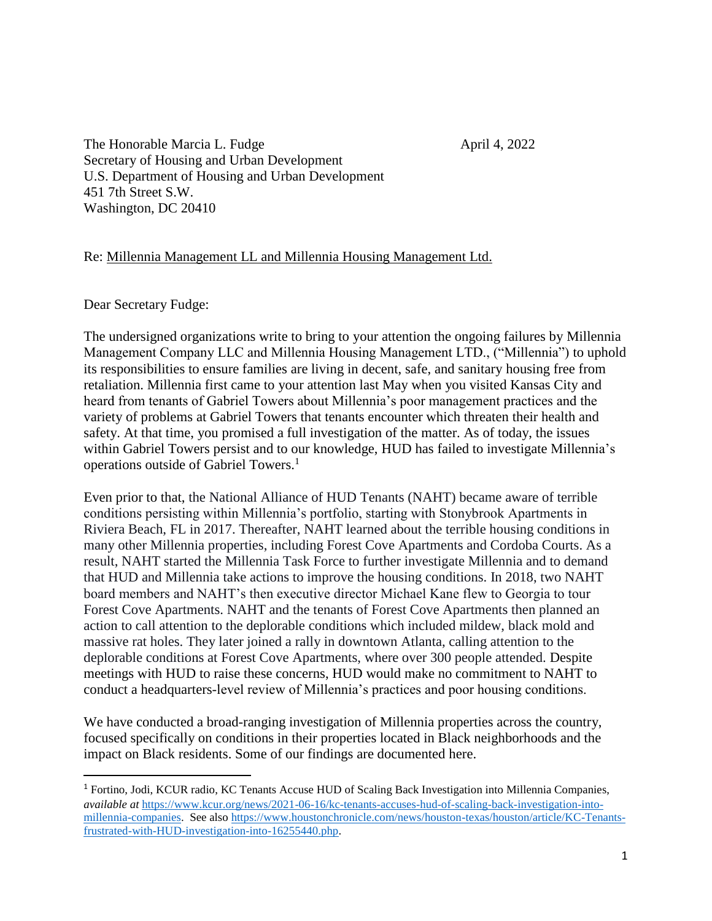The Honorable Marcia L. Fudge April 4, 2022 Secretary of Housing and Urban Development U.S. Department of Housing and Urban Development 451 7th Street S.W. Washington, DC 20410

## Re: Millennia Management LL and Millennia Housing Management Ltd.

Dear Secretary Fudge:

 $\overline{a}$ 

The undersigned organizations write to bring to your attention the ongoing failures by Millennia Management Company LLC and Millennia Housing Management LTD., ("Millennia") to uphold its responsibilities to ensure families are living in decent, safe, and sanitary housing free from retaliation. Millennia first came to your attention last May when you visited Kansas City and heard from tenants of Gabriel Towers about Millennia's poor management practices and the variety of problems at Gabriel Towers that tenants encounter which threaten their health and safety. At that time, you promised a full investigation of the matter. As of today, the issues within Gabriel Towers persist and to our knowledge, HUD has failed to investigate Millennia's operations outside of Gabriel Towers.<sup>1</sup>

Even prior to that, the National Alliance of HUD Tenants (NAHT) became aware of terrible conditions persisting within Millennia's portfolio, starting with Stonybrook Apartments in Riviera Beach, FL in 2017. Thereafter, NAHT learned about the terrible housing conditions in many other Millennia properties, including Forest Cove Apartments and Cordoba Courts. As a result, NAHT started the Millennia Task Force to further investigate Millennia and to demand that HUD and Millennia take actions to improve the housing conditions. In 2018, two NAHT board members and NAHT's then executive director Michael Kane flew to Georgia to tour Forest Cove Apartments. NAHT and the tenants of Forest Cove Apartments then planned an action to call attention to the deplorable conditions which included mildew, black mold and massive rat holes. They later joined a rally in downtown Atlanta, calling attention to the deplorable conditions at Forest Cove Apartments, where over 300 people attended. Despite meetings with HUD to raise these concerns, HUD would make no commitment to NAHT to conduct a headquarters-level review of Millennia's practices and poor housing conditions.

We have conducted a broad-ranging investigation of Millennia properties across the country, focused specifically on conditions in their properties located in Black neighborhoods and the impact on Black residents. Some of our findings are documented here.

<sup>1</sup> Fortino, Jodi, KCUR radio, KC Tenants Accuse HUD of Scaling Back Investigation into Millennia Companies, *available at* [https://www.kcur.org/news/2021-06-16/kc-tenants-accuses-hud-of-scaling-back-investigation-into](https://www.kcur.org/news/2021-06-16/kc-tenants-accuses-hud-of-scaling-back-investigation-into-millennia-companies)[millennia-companies.](https://www.kcur.org/news/2021-06-16/kc-tenants-accuses-hud-of-scaling-back-investigation-into-millennia-companies) See also [https://www.houstonchronicle.com/news/houston-texas/houston/article/KC-Tenants](https://www.houstonchronicle.com/news/houston-texas/houston/article/KC-Tenants-frustrated-with-HUD-investigation-into-16255440.php)[frustrated-with-HUD-investigation-into-16255440.php.](https://www.houstonchronicle.com/news/houston-texas/houston/article/KC-Tenants-frustrated-with-HUD-investigation-into-16255440.php)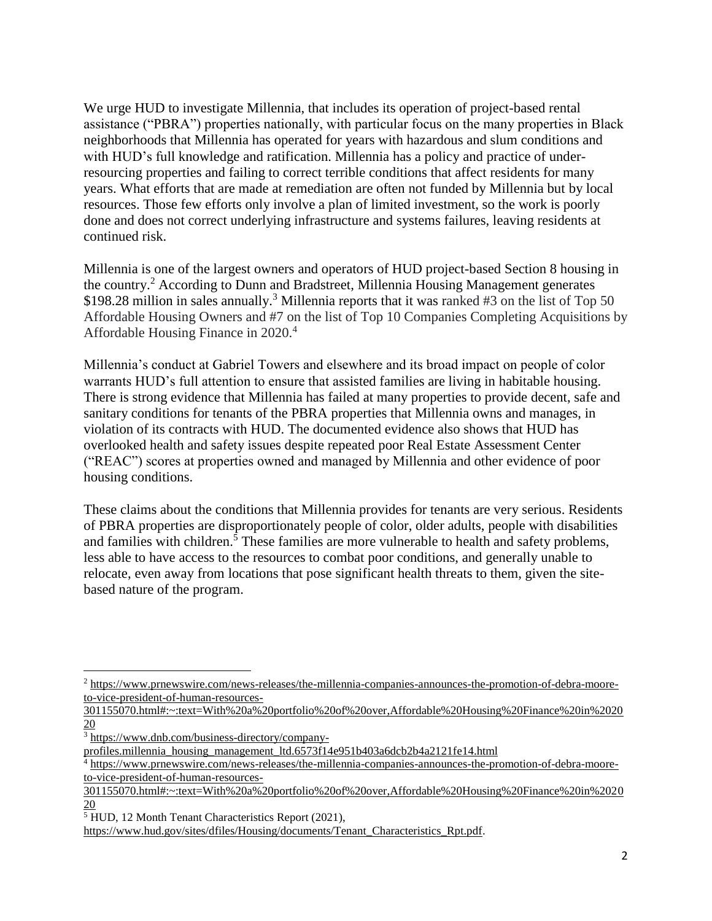We urge HUD to investigate Millennia, that includes its operation of project-based rental assistance ("PBRA") properties nationally, with particular focus on the many properties in Black neighborhoods that Millennia has operated for years with hazardous and slum conditions and with HUD's full knowledge and ratification. Millennia has a policy and practice of underresourcing properties and failing to correct terrible conditions that affect residents for many years. What efforts that are made at remediation are often not funded by Millennia but by local resources. Those few efforts only involve a plan of limited investment, so the work is poorly done and does not correct underlying infrastructure and systems failures, leaving residents at continued risk.

Millennia is one of the largest owners and operators of HUD project-based Section 8 housing in the country.<sup>2</sup> According to Dunn and Bradstreet, Millennia Housing Management generates \$198.28 million in sales annually.<sup>3</sup> Millennia reports that it was ranked #3 on the list of Top 50 Affordable Housing Owners and #7 on the list of Top 10 Companies Completing Acquisitions by Affordable Housing Finance in 2020.<sup>4</sup>

Millennia's conduct at Gabriel Towers and elsewhere and its broad impact on people of color warrants HUD's full attention to ensure that assisted families are living in habitable housing. There is strong evidence that Millennia has failed at many properties to provide decent, safe and sanitary conditions for tenants of the PBRA properties that Millennia owns and manages, in violation of its contracts with HUD. The documented evidence also shows that HUD has overlooked health and safety issues despite repeated poor Real Estate Assessment Center ("REAC") scores at properties owned and managed by Millennia and other evidence of poor housing conditions.

These claims about the conditions that Millennia provides for tenants are very serious. Residents of PBRA properties are disproportionately people of color, older adults, people with disabilities and families with children.<sup>5</sup> These families are more vulnerable to health and safety problems, less able to have access to the resources to combat poor conditions, and generally unable to relocate, even away from locations that pose significant health threats to them, given the sitebased nature of the program.

<sup>2</sup> [https://www.prnewswire.com/news-releases/the-millennia-companies-announces-the-promotion-of-debra-moore](https://www.prnewswire.com/news-releases/the-millennia-companies-announces-the-promotion-of-debra-moore-to-vice-president-of-human-resources-301155070.html#:~:text=With%20a%20portfolio%20of%20over,Affordable%20Housing%20Finance%20in%202020)[to-vice-president-of-human-resources-](https://www.prnewswire.com/news-releases/the-millennia-companies-announces-the-promotion-of-debra-moore-to-vice-president-of-human-resources-301155070.html#:~:text=With%20a%20portfolio%20of%20over,Affordable%20Housing%20Finance%20in%202020)

[<sup>301155070.</sup>html#:~:text=With%20a%20portfolio%20of%20over,Affordable%20Housing%20Finance%20in%2020](https://www.prnewswire.com/news-releases/the-millennia-companies-announces-the-promotion-of-debra-moore-to-vice-president-of-human-resources-301155070.html#:~:text=With%20a%20portfolio%20of%20over,Affordable%20Housing%20Finance%20in%202020) [20](https://www.prnewswire.com/news-releases/the-millennia-companies-announces-the-promotion-of-debra-moore-to-vice-president-of-human-resources-301155070.html#:~:text=With%20a%20portfolio%20of%20over,Affordable%20Housing%20Finance%20in%202020)

 $3 \frac{\text{https://www.dnb.com/business-directory/company-}}{\text{https://www.dnb.com/business-directory/company-}}$ 

[profiles.millennia\\_housing\\_management\\_ltd.6573f14e951b403a6dcb2b4a2121fe14.html](https://www.dnb.com/business-directory/company-profiles.millennia_housing_management_ltd.6573f14e951b403a6dcb2b4a2121fe14.html)

<sup>4</sup> [https://www.prnewswire.com/news-releases/the-millennia-companies-announces-the-promotion-of-debra-moore](https://www.prnewswire.com/news-releases/the-millennia-companies-announces-the-promotion-of-debra-moore-to-vice-president-of-human-resources-301155070.html#:~:text=With%20a%20portfolio%20of%20over,Affordable%20Housing%20Finance%20in%202020)[to-vice-president-of-human-resources-](https://www.prnewswire.com/news-releases/the-millennia-companies-announces-the-promotion-of-debra-moore-to-vice-president-of-human-resources-301155070.html#:~:text=With%20a%20portfolio%20of%20over,Affordable%20Housing%20Finance%20in%202020)

[<sup>301155070.</sup>html#:~:text=With%20a%20portfolio%20of%20over,Affordable%20Housing%20Finance%20in%2020](https://www.prnewswire.com/news-releases/the-millennia-companies-announces-the-promotion-of-debra-moore-to-vice-president-of-human-resources-301155070.html#:~:text=With%20a%20portfolio%20of%20over,Affordable%20Housing%20Finance%20in%202020) [20](https://www.prnewswire.com/news-releases/the-millennia-companies-announces-the-promotion-of-debra-moore-to-vice-president-of-human-resources-301155070.html#:~:text=With%20a%20portfolio%20of%20over,Affordable%20Housing%20Finance%20in%202020)

<sup>5</sup> HUD, 12 Month Tenant Characteristics Report (2021),

[https://www.hud.gov/sites/dfiles/Housing/documents/Tenant\\_Characteristics\\_Rpt.pdf.](https://www.hud.gov/sites/dfiles/Housing/documents/Tenant_Characteristics_Rpt.pdf)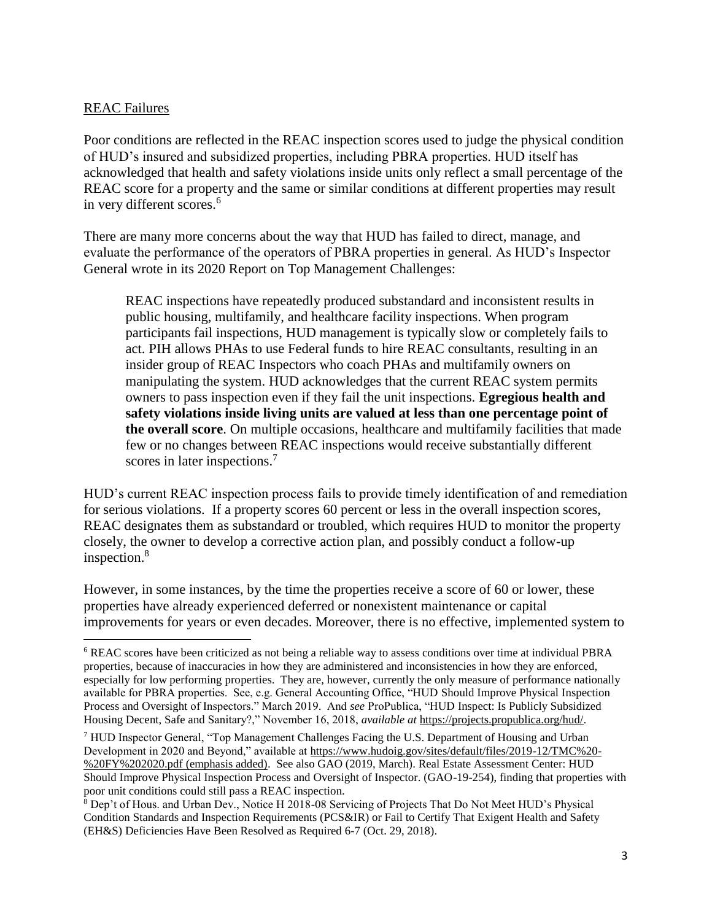## REAC Failures

l

Poor conditions are reflected in the REAC inspection scores used to judge the physical condition of HUD's insured and subsidized properties, including PBRA properties. HUD itself has acknowledged that health and safety violations inside units only reflect a small percentage of the REAC score for a property and the same or similar conditions at different properties may result in very different scores.<sup>6</sup>

There are many more concerns about the way that HUD has failed to direct, manage, and evaluate the performance of the operators of PBRA properties in general. As HUD's Inspector General wrote in its 2020 Report on Top Management Challenges:

REAC inspections have repeatedly produced substandard and inconsistent results in public housing, multifamily, and healthcare facility inspections. When program participants fail inspections, HUD management is typically slow or completely fails to act. PIH allows PHAs to use Federal funds to hire REAC consultants, resulting in an insider group of REAC Inspectors who coach PHAs and multifamily owners on manipulating the system. HUD acknowledges that the current REAC system permits owners to pass inspection even if they fail the unit inspections. **Egregious health and safety violations inside living units are valued at less than one percentage point of the overall score**. On multiple occasions, healthcare and multifamily facilities that made few or no changes between REAC inspections would receive substantially different scores in later inspections.<sup>7</sup>

HUD's current REAC inspection process fails to provide timely identification of and remediation for serious violations. If a property scores 60 percent or less in the overall inspection scores, REAC designates them as substandard or troubled, which requires HUD to monitor the property closely, the owner to develop a corrective action plan, and possibly conduct a follow-up inspection.<sup>8</sup>

However, in some instances, by the time the properties receive a score of 60 or lower, these properties have already experienced deferred or nonexistent maintenance or capital improvements for years or even decades. Moreover, there is no effective, implemented system to

<sup>6</sup> REAC scores have been criticized as not being a reliable way to assess conditions over time at individual PBRA properties, because of inaccuracies in how they are administered and inconsistencies in how they are enforced, especially for low performing properties. They are, however, currently the only measure of performance nationally available for PBRA properties. See, e.g. General Accounting Office, "HUD Should Improve Physical Inspection Process and Oversight of Inspectors." March 2019. And *see* ProPublica, "HUD Inspect: Is Publicly Subsidized Housing Decent, Safe and Sanitary?," November 16, 2018, *available at* [https://projects.propublica.org/hud/.](https://projects.propublica.org/hud/)

<sup>7</sup> HUD Inspector General, "Top Management Challenges Facing the U.S. Department of Housing and Urban Development in 2020 and Beyond," available at [https://www.hudoig.gov/sites/default/files/2019-12/TMC%20-](https://www.hudoig.gov/sites/default/files/2019-12/TMC%20-%20FY%202020.pdf) [%20FY%202020.pdf](https://www.hudoig.gov/sites/default/files/2019-12/TMC%20-%20FY%202020.pdf) (emphasis added). See also GAO (2019, March). Real Estate Assessment Center: HUD Should Improve Physical Inspection Process and Oversight of Inspector. (GAO-19-254), finding that properties with poor unit conditions could still pass a REAC inspection.

<sup>8</sup> Dep't of Hous. and Urban Dev., Notice H 2018-08 Servicing of Projects That Do Not Meet HUD's Physical Condition Standards and Inspection Requirements (PCS&IR) or Fail to Certify That Exigent Health and Safety (EH&S) Deficiencies Have Been Resolved as Required 6-7 (Oct. 29, 2018).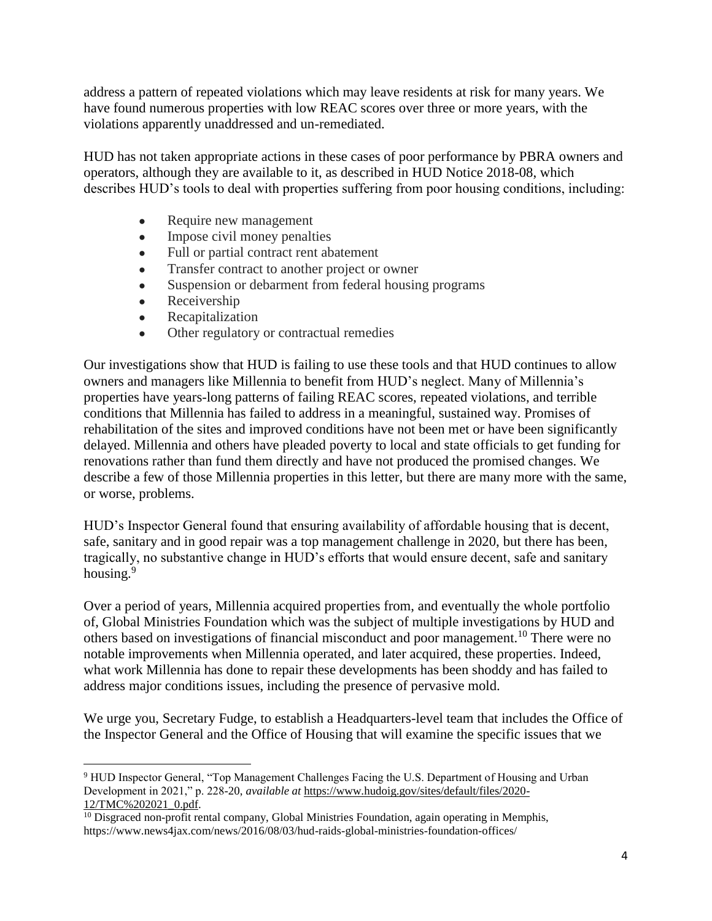address a pattern of repeated violations which may leave residents at risk for many years. We have found numerous properties with low REAC scores over three or more years, with the violations apparently unaddressed and un-remediated.

HUD has not taken appropriate actions in these cases of poor performance by PBRA owners and operators, although they are available to it, as described in [HUD Notice 2018-08,](https://www.hud.gov/sites/dfiles/OCHCO/documents/2018-08hsgn.pdf) which describes HUD's tools to deal with properties suffering from poor housing conditions, including:

- Require new management
- Impose civil money penalties
- Full or partial contract rent abatement
- Transfer contract to another project or owner
- Suspension or debarment from federal housing programs
- Receivership

l

- Recapitalization
- Other regulatory or contractual remedies

Our investigations show that HUD is failing to use these tools and that HUD continues to allow owners and managers like Millennia to benefit from HUD's neglect. Many of Millennia's properties have years-long patterns of failing REAC scores, repeated violations, and terrible conditions that Millennia has failed to address in a meaningful, sustained way. Promises of rehabilitation of the sites and improved conditions have not been met or have been significantly delayed. Millennia and others have pleaded poverty to local and state officials to get funding for renovations rather than fund them directly and have not produced the promised changes. We describe a few of those Millennia properties in this letter, but there are many more with the same, or worse, problems.

HUD's Inspector General found that ensuring availability of affordable housing that is decent, safe, sanitary and in good repair was a top management challenge in 2020, but there has been, tragically, no substantive change in HUD's efforts that would ensure decent, safe and sanitary housing.<sup>9</sup>

Over a period of years, Millennia acquired properties from, and eventually the whole portfolio of, Global Ministries Foundation which was the subject of multiple investigations by HUD and others based on investigations of financial misconduct and poor management.<sup>10</sup> There were no notable improvements when Millennia operated, and later acquired, these properties. Indeed, what work Millennia has done to repair these developments has been shoddy and has failed to address major conditions issues, including the presence of pervasive mold.

We urge you, Secretary Fudge, to establish a Headquarters-level team that includes the Office of the Inspector General and the Office of Housing that will examine the specific issues that we

<sup>9</sup> HUD Inspector General, "Top Management Challenges Facing the U.S. Department of Housing and Urban Development in 2021," p. 228-20, *available at* [https://www.hudoig.gov/sites/default/files/2020-](https://www.hudoig.gov/sites/default/files/2020-12/TMC%202021_0.pdf) [12/TMC%202021\\_0.pdf.](https://www.hudoig.gov/sites/default/files/2020-12/TMC%202021_0.pdf)

<sup>&</sup>lt;sup>10</sup> Disgraced non-profit rental company, Global Ministries Foundation, again operating in Memphis, https://www.news4jax.com/news/2016/08/03/hud-raids-global-ministries-foundation-offices/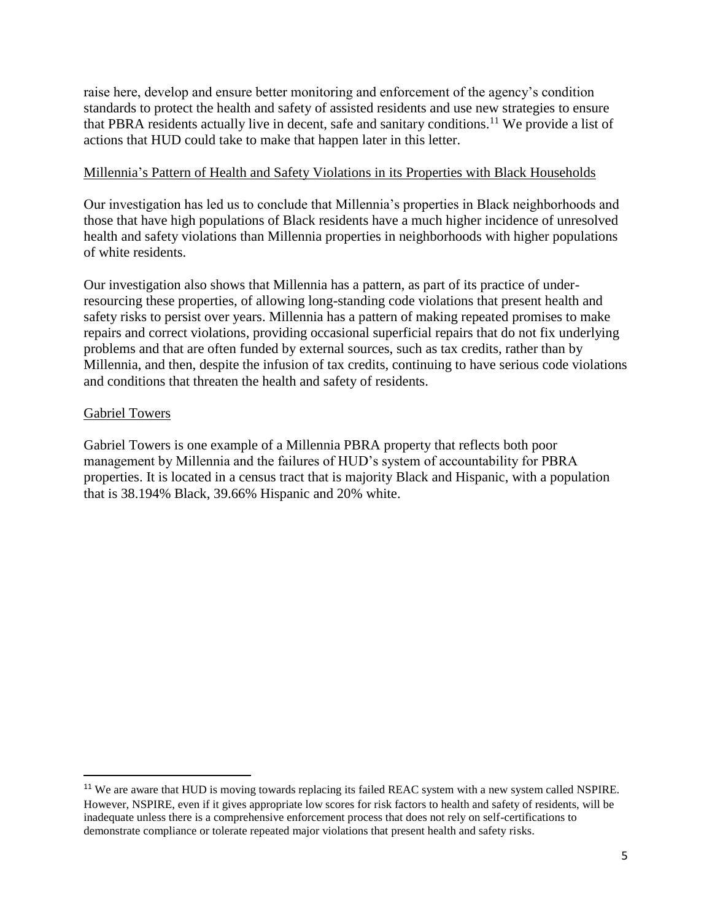raise here, develop and ensure better monitoring and enforcement of the agency's condition standards to protect the health and safety of assisted residents and use new strategies to ensure that PBRA residents actually live in decent, safe and sanitary conditions.<sup>11</sup> We provide a list of actions that HUD could take to make that happen later in this letter.

#### Millennia's Pattern of Health and Safety Violations in its Properties with Black Households

Our investigation has led us to conclude that Millennia's properties in Black neighborhoods and those that have high populations of Black residents have a much higher incidence of unresolved health and safety violations than Millennia properties in neighborhoods with higher populations of white residents.

Our investigation also shows that Millennia has a pattern, as part of its practice of underresourcing these properties, of allowing long-standing code violations that present health and safety risks to persist over years. Millennia has a pattern of making repeated promises to make repairs and correct violations, providing occasional superficial repairs that do not fix underlying problems and that are often funded by external sources, such as tax credits, rather than by Millennia, and then, despite the infusion of tax credits, continuing to have serious code violations and conditions that threaten the health and safety of residents.

## Gabriel Towers

 $\overline{a}$ 

Gabriel Towers is one example of a Millennia PBRA property that reflects both poor management by Millennia and the failures of HUD's system of accountability for PBRA properties. It is located in a census tract that is majority Black and Hispanic, with a population that is 38.194% Black, 39.66% Hispanic and 20% white.

<sup>&</sup>lt;sup>11</sup> We are aware that HUD is moving towards replacing its failed REAC system with a new system called NSPIRE. However, NSPIRE, even if it gives appropriate low scores for risk factors to health and safety of residents, will be inadequate unless there is a comprehensive enforcement process that does not rely on self-certifications to demonstrate compliance or tolerate repeated major violations that present health and safety risks.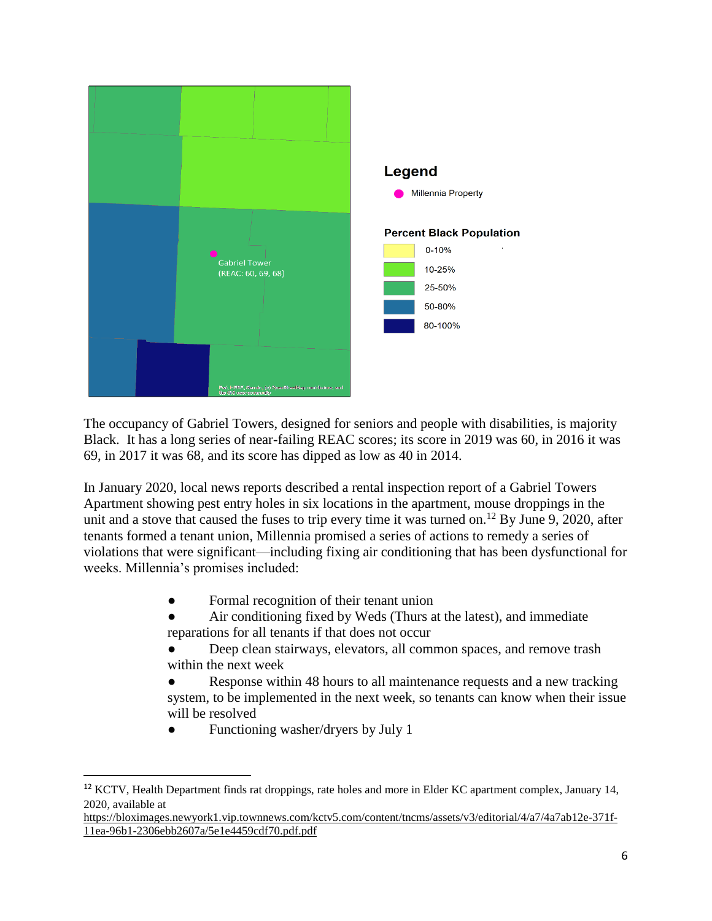

The occupancy of Gabriel Towers, designed for seniors and people with disabilities, is majority Black. It has a long series of near-failing REAC scores; its score in 2019 was 60, in 2016 it was 69, in 2017 it was 68, and its score has dipped as low as 40 in 2014.

In January 2020, local news reports described a rental inspection report of a Gabriel Towers Apartment showing pest entry holes in six locations in the apartment, mouse droppings in the unit and a stove that caused the fuses to trip every time it was turned on.<sup>12</sup> By June 9, 2020, after tenants formed a tenant union, Millennia promised a series of actions to remedy a series of violations that were significant—including fixing air conditioning that has been dysfunctional for weeks. Millennia's promises included:

- Formal recognition of their tenant union
- Air conditioning fixed by Weds (Thurs at the latest), and immediate reparations for all tenants if that does not occur
- Deep clean stairways, elevators, all common spaces, and remove trash within the next week
- Response within 48 hours to all maintenance requests and a new tracking system, to be implemented in the next week, so tenants can know when their issue will be resolved
- Functioning washer/dryers by July 1

 $\overline{a}$ 

```
https://bloximages.newyork1.vip.townnews.com/kctv5.com/content/tncms/assets/v3/editorial/4/a7/4a7ab12e-371f-
11ea-96b1-2306ebb2607a/5e1e4459cdf70.pdf.pdf
```
<sup>&</sup>lt;sup>12</sup> KCTV, Health Department finds rat droppings, rate holes and more in Elder KC apartment complex, January 14, 2020, available at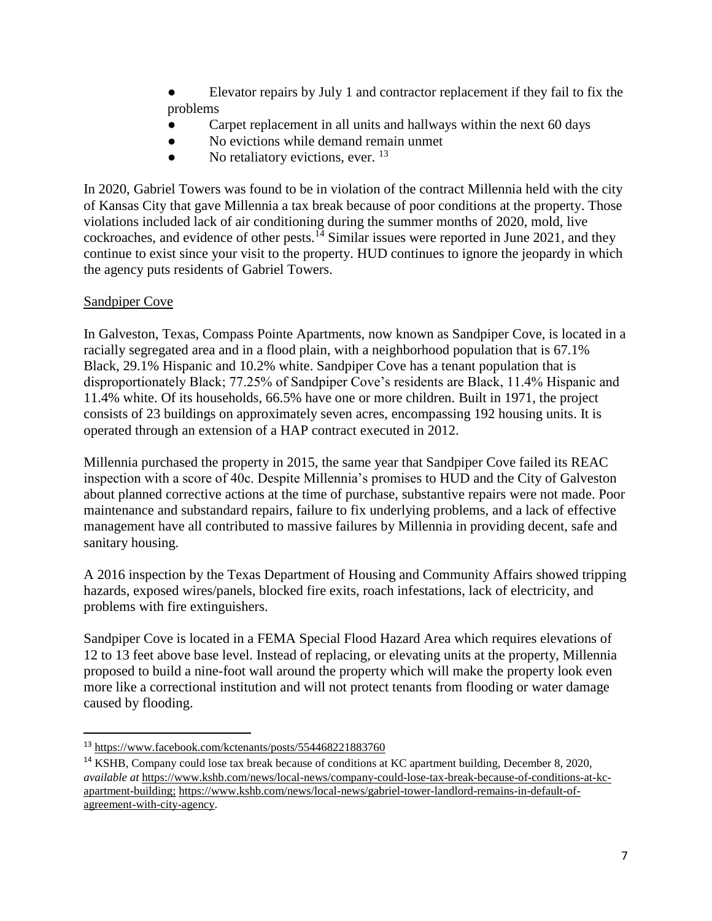- Elevator repairs by July 1 and contractor replacement if they fail to fix the problems
- Carpet replacement in all units and hallways within the next 60 days
- No evictions while demand remain unmet
- No retaliatory evictions, ever.  $^{13}$

In 2020, Gabriel Towers was found to be in violation of the contract Millennia held with the city of Kansas City that gave Millennia a tax break because of poor conditions at the property. Those violations included lack of air conditioning during the summer months of 2020, mold, live cockroaches, and evidence of other pests.<sup>14</sup> Similar issues were reported in June 2021, and they continue to exist since your visit to the property. HUD continues to ignore the jeopardy in which the agency puts residents of Gabriel Towers.

# Sandpiper Cove

 $\overline{\phantom{a}}$ 

In Galveston, Texas, Compass Pointe Apartments, now known as Sandpiper Cove, is located in a racially segregated area and in a flood plain, with a neighborhood population that is 67.1% Black, 29.1% Hispanic and 10.2% white. Sandpiper Cove has a tenant population that is disproportionately Black; 77.25% of Sandpiper Cove's residents are Black, 11.4% Hispanic and 11.4% white. Of its households, 66.5% have one or more children. Built in 1971, the project consists of 23 buildings on approximately seven acres, encompassing 192 housing units. It is operated through an extension of a HAP contract executed in 2012.

Millennia purchased the property in 2015, the same year that Sandpiper Cove failed its REAC inspection with a score of 40c. Despite Millennia's promises to HUD and the City of Galveston about planned corrective actions at the time of purchase, substantive repairs were not made. Poor maintenance and substandard repairs, failure to fix underlying problems, and a lack of effective management have all contributed to massive failures by Millennia in providing decent, safe and sanitary housing.

A 2016 inspection by the Texas Department of Housing and Community Affairs showed tripping hazards, exposed wires/panels, blocked fire exits, roach infestations, lack of electricity, and problems with fire extinguishers.

Sandpiper Cove is located in a FEMA Special Flood Hazard Area which requires elevations of 12 to 13 feet above base level. Instead of replacing, or elevating units at the property, Millennia proposed to build a nine-foot wall around the property which will make the property look even more like a correctional institution and will not protect tenants from flooding or water damage caused by flooding.

<sup>13</sup> <https://www.facebook.com/kctenants/posts/554468221883760>

<sup>&</sup>lt;sup>14</sup> KSHB, Company could lose tax break because of conditions at KC apartment building, December 8, 2020, *available at* [https://www.kshb.com/news/local-news/company-could-lose-tax-break-because-of-conditions-at-kc](https://www.kshb.com/news/local-news/company-could-lose-tax-break-because-of-conditions-at-kc-apartment-building)[apartment-building;](https://www.kshb.com/news/local-news/company-could-lose-tax-break-because-of-conditions-at-kc-apartment-building) [https://www.kshb.com/news/local-news/gabriel-tower-landlord-remains-in-default-of](https://www.kshb.com/news/local-news/gabriel-tower-landlord-remains-in-default-of-agreement-with-city-agency)[agreement-with-city-agency.](https://www.kshb.com/news/local-news/gabriel-tower-landlord-remains-in-default-of-agreement-with-city-agency)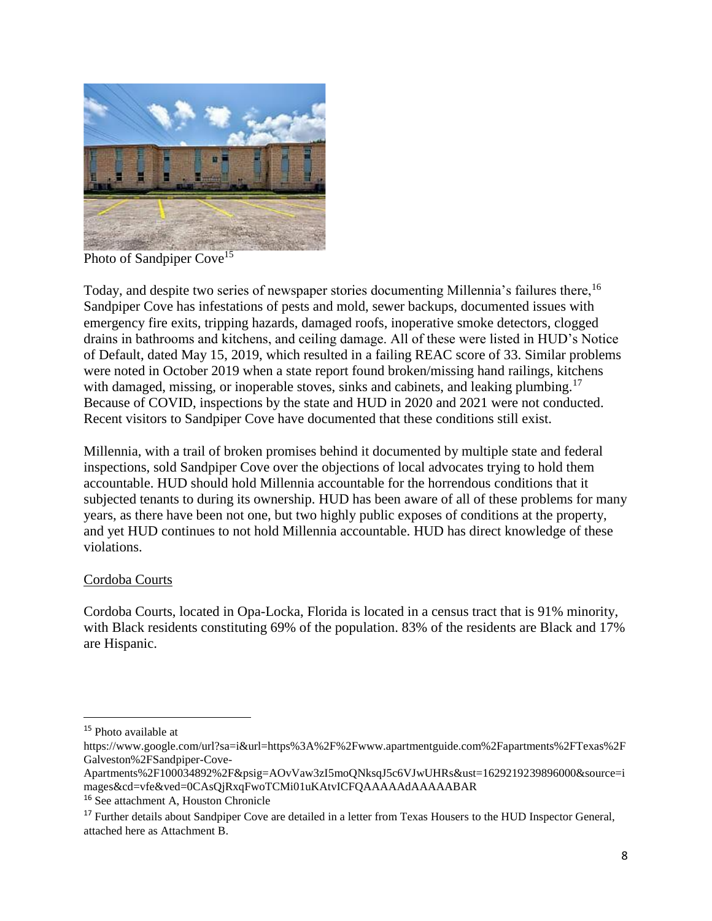

Photo of Sandpiper Cove<sup>15</sup>

Today, and despite two series of newspaper stories documenting Millennia's failures there, <sup>16</sup> Sandpiper Cove has infestations of pests and mold, sewer backups, documented issues with emergency fire exits, tripping hazards, damaged roofs, inoperative smoke detectors, clogged drains in bathrooms and kitchens, and ceiling damage. All of these were listed in HUD's Notice of Default, dated May 15, 2019, which resulted in a failing REAC score of 33. Similar problems were noted in October 2019 when a state report found broken/missing hand railings, kitchens with damaged, missing, or inoperable stoves, sinks and cabinets, and leaking plumbing.<sup>17</sup> Because of COVID, inspections by the state and HUD in 2020 and 2021 were not conducted. Recent visitors to Sandpiper Cove have documented that these conditions still exist.

Millennia, with a trail of broken promises behind it documented by multiple state and federal inspections, sold Sandpiper Cove over the objections of local advocates trying to hold them accountable. HUD should hold Millennia accountable for the horrendous conditions that it subjected tenants to during its ownership. HUD has been aware of all of these problems for many years, as there have been not one, but two highly public exposes of conditions at the property, and yet HUD continues to not hold Millennia accountable. HUD has direct knowledge of these violations.

## Cordoba Courts

Cordoba Courts, located in Opa-Locka, Florida is located in a census tract that is 91% minority, with Black residents constituting 69% of the population. 83% of the residents are Black and 17% are Hispanic.

<sup>15</sup> Photo available at

https://www.google.com/url?sa=i&url=https%3A%2F%2Fwww.apartmentguide.com%2Fapartments%2FTexas%2F Galveston%2FSandpiper-Cove-

Apartments%2F100034892%2F&psig=AOvVaw3zI5moQNksqJ5c6VJwUHRs&ust=1629219239896000&source=i mages&cd=vfe&ved=0CAsQjRxqFwoTCMi01uKAtvICFQAAAAAdAAAAABAR

<sup>16</sup> See attachment A, Houston Chronicle

<sup>&</sup>lt;sup>17</sup> Further details about Sandpiper Cove are detailed in a letter from Texas Housers to the HUD Inspector General, attached here as Attachment B.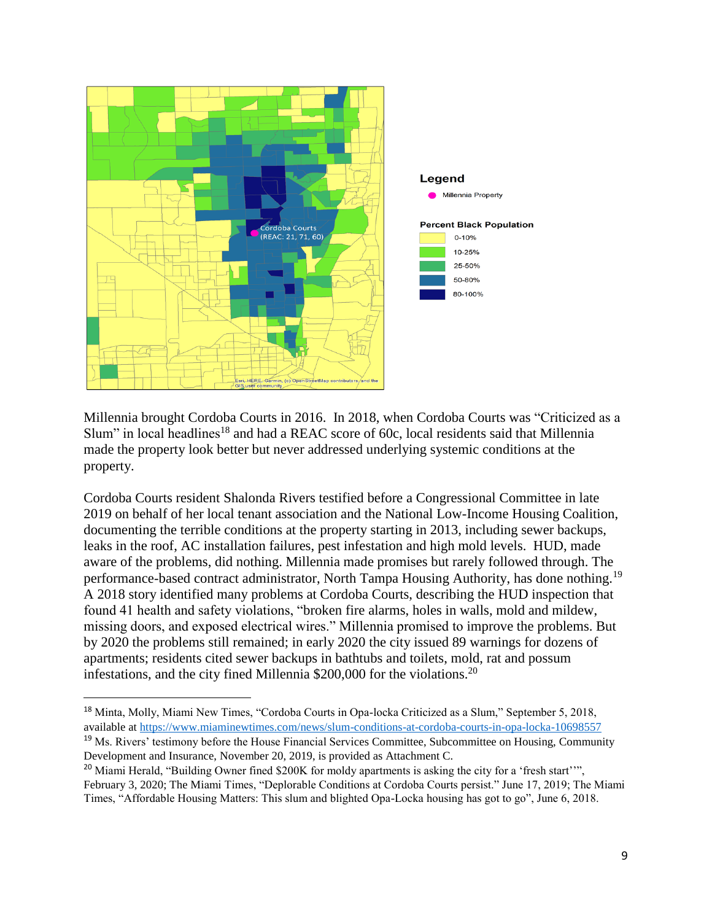

Millennia brought Cordoba Courts in 2016. In 2018, when Cordoba Courts was "Criticized as a Slum" in local headlines<sup>18</sup> and had a REAC score of 60c, local residents said that Millennia made the property look better but never addressed underlying systemic conditions at the property.

Cordoba Courts resident Shalonda Rivers testified before a Congressional Committee in late 2019 on behalf of her local tenant association and the National Low-Income Housing Coalition, documenting the terrible conditions at the property starting in 2013, including sewer backups, leaks in the roof, AC installation failures, pest infestation and high mold levels. HUD, made aware of the problems, did nothing. Millennia made promises but rarely followed through. The performance-based contract administrator, North Tampa Housing Authority, has done nothing.<sup>19</sup> A 2018 story identified many problems at Cordoba Courts, describing the HUD inspection that found 41 health and safety violations, "broken fire alarms, holes in walls, mold and mildew, missing doors, and exposed electrical wires." Millennia promised to improve the problems. But by 2020 the problems still remained; in early 2020 the city issued 89 warnings for dozens of apartments; residents cited sewer backups in bathtubs and toilets, mold, rat and possum infestations, and the city fined Millennia  $$200,000$  for the violations.<sup>20</sup>

l

<sup>18</sup> Minta, Molly, Miami New Times, "Cordoba Courts in Opa-locka Criticized as a Slum," September 5, 2018, available at<https://www.miaminewtimes.com/news/slum-conditions-at-cordoba-courts-in-opa-locka-10698557>

<sup>&</sup>lt;sup>19</sup> Ms. Rivers' testimony before the House Financial Services Committee, Subcommittee on Housing, Community Development and Insurance, November 20, 2019, is provided as Attachment C.

<sup>&</sup>lt;sup>20</sup> Miami Herald, "Building Owner fined \$200K for moldy apartments is asking the city for a 'fresh start''". February 3, 2020; The Miami Times, "Deplorable Conditions at Cordoba Courts persist." June 17, 2019; The Miami Times, "Affordable Housing Matters: This slum and blighted Opa-Locka housing has got to go", June 6, 2018.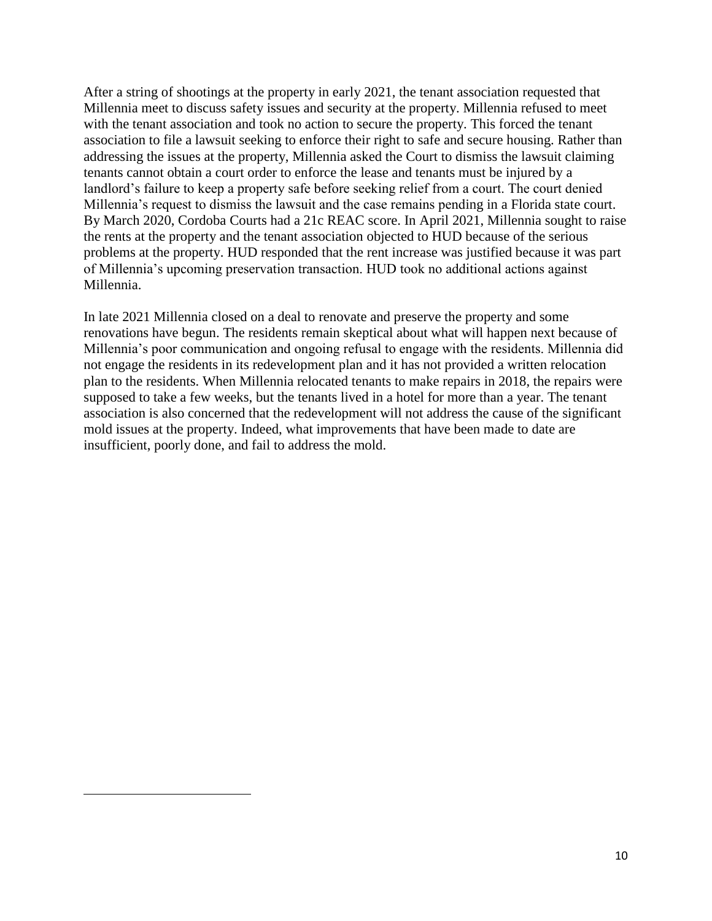After a string of shootings at the property in early 2021, the tenant association requested that Millennia meet to discuss safety issues and security at the property. Millennia refused to meet with the tenant association and took no action to secure the property. This forced the tenant association to file a lawsuit seeking to enforce their right to safe and secure housing. Rather than addressing the issues at the property, Millennia asked the Court to dismiss the lawsuit claiming tenants cannot obtain a court order to enforce the lease and tenants must be injured by a landlord's failure to keep a property safe before seeking relief from a court. The court denied Millennia's request to dismiss the lawsuit and the case remains pending in a Florida state court. By March 2020, Cordoba Courts had a 21c REAC score. In April 2021, Millennia sought to raise the rents at the property and the tenant association objected to HUD because of the serious problems at the property. HUD responded that the rent increase was justified because it was part of Millennia's upcoming preservation transaction. HUD took no additional actions against Millennia.

In late 2021 Millennia closed on a deal to renovate and preserve the property and some renovations have begun. The residents remain skeptical about what will happen next because of Millennia's poor communication and ongoing refusal to engage with the residents. Millennia did not engage the residents in its redevelopment plan and it has not provided a written relocation plan to the residents. When Millennia relocated tenants to make repairs in 2018, the repairs were supposed to take a few weeks, but the tenants lived in a hotel for more than a year. The tenant association is also concerned that the redevelopment will not address the cause of the significant mold issues at the property. Indeed, what improvements that have been made to date are insufficient, poorly done, and fail to address the mold.

 $\overline{a}$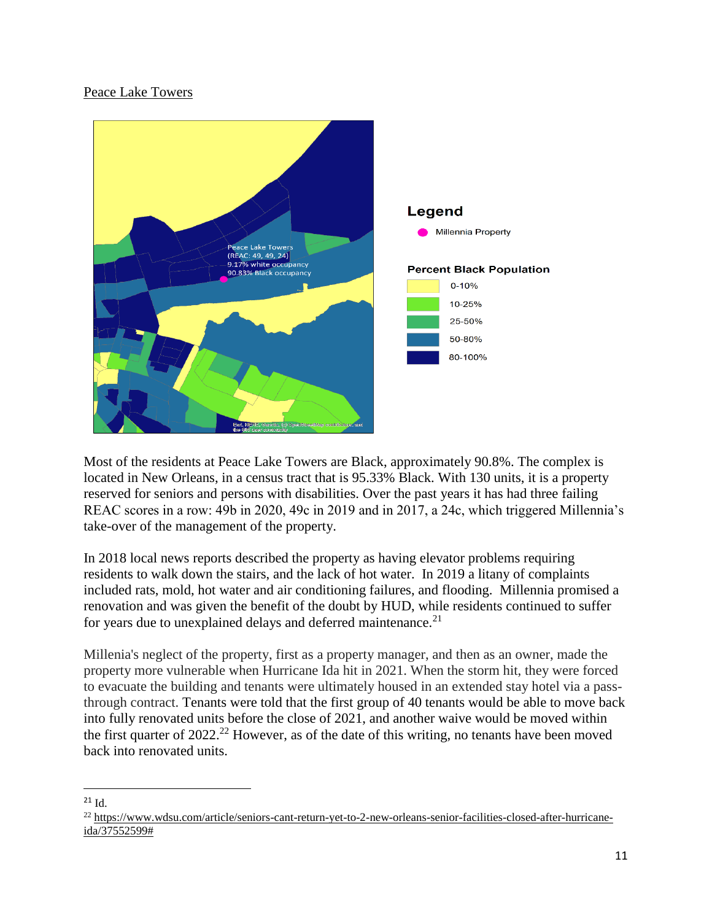## Peace Lake Towers



Most of the residents at Peace Lake Towers are Black, approximately 90.8%. The complex is located in New Orleans, in a census tract that is 95.33% Black. With 130 units, it is a property reserved for seniors and persons with disabilities. Over the past years it has had three failing REAC scores in a row: 49b in 2020, 49c in 2019 and in 2017, a 24c, which triggered Millennia's take-over of the management of the property.

In 2018 local news reports described the property as having elevator problems requiring residents to walk down the stairs, and the lack of hot water. In 2019 a litany of complaints included rats, mold, hot water and air conditioning failures, and flooding. Millennia promised a renovation and was given the benefit of the doubt by HUD, while residents continued to suffer for years due to unexplained delays and deferred maintenance. $21$ 

Millenia's neglect of the property, first as a property manager, and then as an owner, made the property more vulnerable when Hurricane Ida hit in 2021. When the storm hit, they were forced to evacuate the building and tenants were ultimately housed in an extended stay hotel via a passthrough contract. Tenants were told that the first group of 40 tenants would be able to move back into fully renovated units before the close of 2021, and another waive would be moved within the first quarter of  $2022<sup>22</sup>$  However, as of the date of this writing, no tenants have been moved back into renovated units.

#### l  $^{21}$  Id.

<sup>22</sup> [https://www.wdsu.com/article/seniors-cant-return-yet-to-2-new-orleans-senior-facilities-closed-after-hurricane](https://www.wdsu.com/article/seniors-cant-return-yet-to-2-new-orleans-senior-facilities-closed-after-hurricane-ida/37552599)[ida/37552599#](https://www.wdsu.com/article/seniors-cant-return-yet-to-2-new-orleans-senior-facilities-closed-after-hurricane-ida/37552599)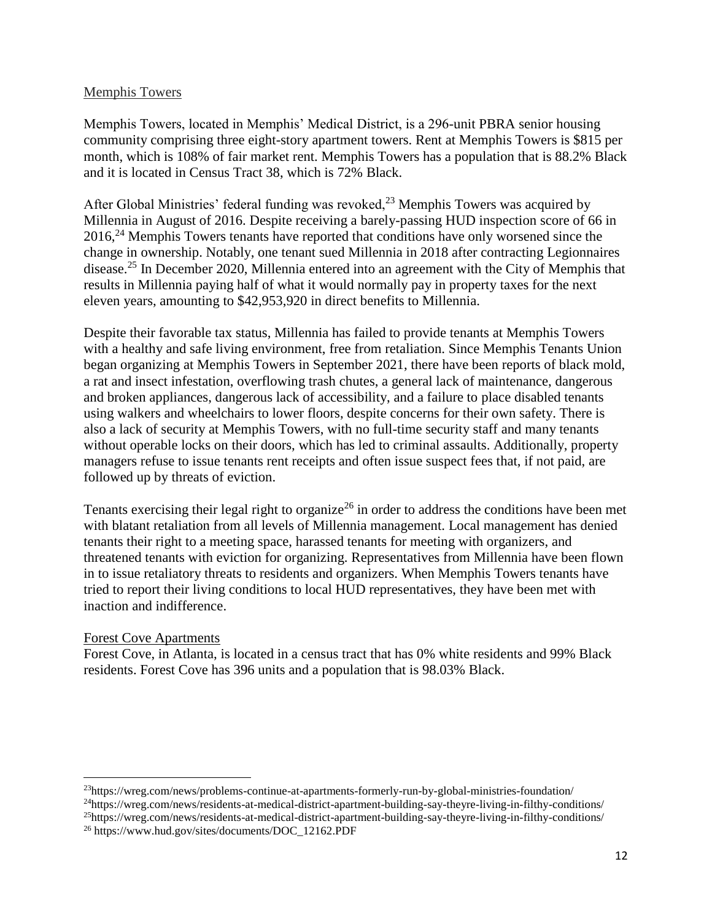#### Memphis Towers

Memphis Towers, located in Memphis' Medical District, is a 296-unit PBRA senior housing community comprising three eight-story apartment towers. Rent at Memphis Towers is \$815 per month, which is 108% of fair market rent. Memphis Towers has a population that is 88.2% Black and it is located in Census Tract 38, which is 72% Black.

After Global Ministries' federal funding was revoked, $^{23}$  Memphis Towers was acquired by Millennia in August of 2016. Despite receiving a barely-passing HUD inspection score of 66 in 2016,<sup>24</sup> Memphis Towers tenants have reported that conditions have only worsened since the change in ownership. Notably, one tenant sued Millennia in 2018 after contracting Legionnaires disease.<sup>25</sup> In December 2020, Millennia entered into an agreement with the City of Memphis that results in Millennia paying half of what it would normally pay in property taxes for the next eleven years, amounting to \$42,953,920 in direct benefits to Millennia.

Despite their favorable tax status, Millennia has failed to provide tenants at Memphis Towers with a healthy and safe living environment, free from retaliation. Since Memphis Tenants Union began organizing at Memphis Towers in September 2021, there have been reports of black mold, a rat and insect infestation, overflowing trash chutes, a general lack of maintenance, dangerous and broken appliances, dangerous lack of accessibility, and a failure to place disabled tenants using walkers and wheelchairs to lower floors, despite concerns for their own safety. There is also a lack of security at Memphis Towers, with no full-time security staff and many tenants without operable locks on their doors, which has led to criminal assaults. Additionally, property managers refuse to issue tenants rent receipts and often issue suspect fees that, if not paid, are followed up by threats of eviction.

Tenants exercising their legal right to organize<sup>26</sup> in order to address the conditions have been met with blatant retaliation from all levels of Millennia management. Local management has denied tenants their right to a meeting space, harassed tenants for meeting with organizers, and threatened tenants with eviction for organizing. Representatives from Millennia have been flown in to issue retaliatory threats to residents and organizers. When Memphis Towers tenants have tried to report their living conditions to local HUD representatives, they have been met with inaction and indifference.

#### Forest Cove Apartments

 $\overline{a}$ 

Forest Cove, in Atlanta, is located in a census tract that has 0% white residents and 99% Black residents. Forest Cove has 396 units and a population that is 98.03% Black.

<sup>23</sup>https://wreg.com/news/problems-continue-at-apartments-formerly-run-by-global-ministries-foundation/

<sup>24</sup>https://wreg.com/news/residents-at-medical-district-apartment-building-say-theyre-living-in-filthy-conditions/

<sup>25</sup>https://wreg.com/news/residents-at-medical-district-apartment-building-say-theyre-living-in-filthy-conditions/

<sup>26</sup> https://www.hud.gov/sites/documents/DOC\_12162.PDF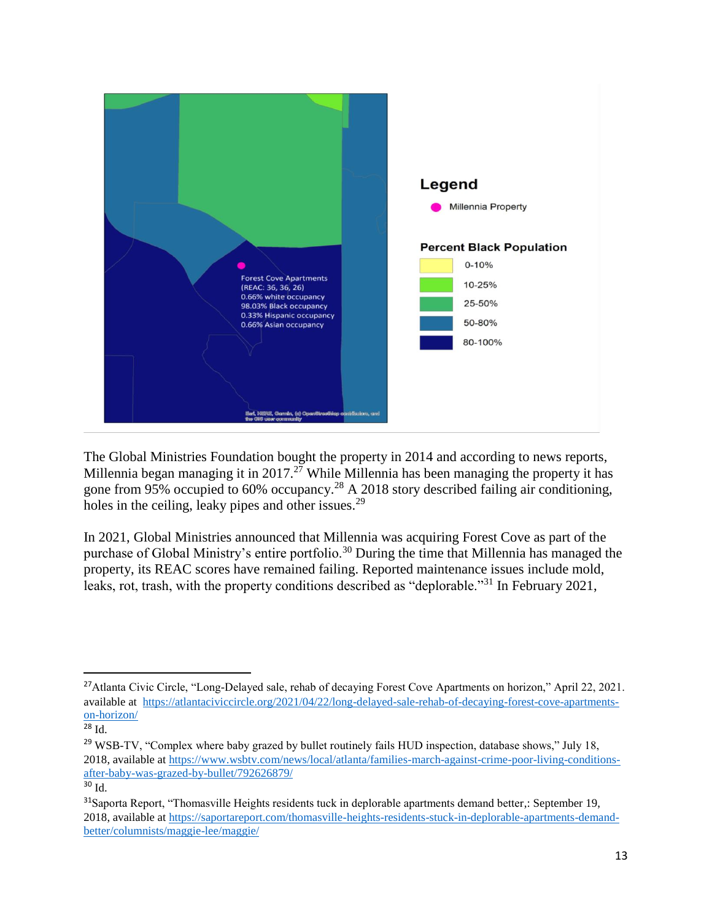

The Global Ministries Foundation bought the property in 2014 and according to news reports, Millennia began managing it in 2017.<sup>27</sup> While Millennia has been managing the property it has gone from 95% occupied to 60% occupancy.<sup>28</sup> A 2018 story described failing air conditioning, holes in the ceiling, leaky pipes and other issues.<sup>29</sup>

In 2021, Global Ministries announced that Millennia was acquiring Forest Cove as part of the purchase of Global Ministry's entire portfolio.<sup>30</sup> During the time that Millennia has managed the property, its REAC scores have remained failing. Reported maintenance issues include mold, leaks, rot, trash, with the property conditions described as "deplorable."<sup>31</sup> In February 2021,

<sup>&</sup>lt;sup>27</sup>Atlanta Civic Circle, "Long-Delayed sale, rehab of decaying Forest Cove Apartments on horizon," April 22, 2021. available at [https://atlantaciviccircle.org/2021/04/22/long-delayed-sale-rehab-of-decaying-forest-cove-apartments](https://atlantaciviccircle.org/2021/04/22/long-delayed-sale-rehab-of-decaying-forest-cove-apartments-on-horizon/)[on-horizon/](https://atlantaciviccircle.org/2021/04/22/long-delayed-sale-rehab-of-decaying-forest-cove-apartments-on-horizon/)

<sup>28</sup> Id.

 $^{29}$  WSB-TV, "Complex where baby grazed by bullet routinely fails HUD inspection, database shows," July 18, 2018, available at [https://www.wsbtv.com/news/local/atlanta/families-march-against-crime-poor-living-conditions](https://www.wsbtv.com/news/local/atlanta/families-march-against-crime-poor-living-conditions-after-baby-was-grazed-by-bullet/792626879/)[after-baby-was-grazed-by-bullet/792626879/](https://www.wsbtv.com/news/local/atlanta/families-march-against-crime-poor-living-conditions-after-baby-was-grazed-by-bullet/792626879/)

<sup>30</sup> Id.

<sup>&</sup>lt;sup>31</sup>Saporta Report, "Thomasville Heights residents tuck in deplorable apartments demand better, September 19, 2018, available at [https://saportareport.com/thomasville-heights-residents-stuck-in-deplorable-apartments-demand](https://saportareport.com/thomasville-heights-residents-stuck-in-deplorable-apartments-demand-better/columnists/maggie-lee/maggie/)[better/columnists/maggie-lee/maggie/](https://saportareport.com/thomasville-heights-residents-stuck-in-deplorable-apartments-demand-better/columnists/maggie-lee/maggie/)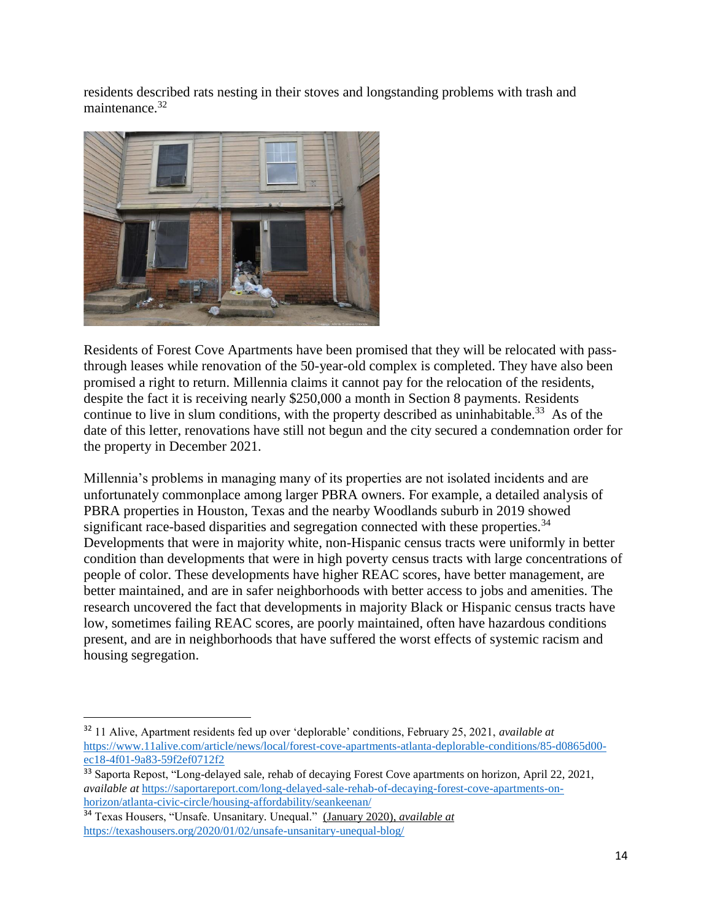residents described rats nesting in their stoves and longstanding problems with trash and maintenance.<sup>32</sup>



Residents of Forest Cove Apartments have been promised that they will be relocated with passthrough leases while renovation of the 50-year-old complex is completed. They have also been promised a right to return. Millennia claims it cannot pay for the relocation of the residents, despite the fact it is receiving nearly \$250,000 a month in Section 8 payments. Residents continue to live in slum conditions, with the property described as uninhabitable.<sup>33</sup> As of the date of this letter, renovations have still not begun and the city secured a condemnation order for the property in December 2021.

Millennia's problems in managing many of its properties are not isolated incidents and are unfortunately commonplace among larger PBRA owners. For example, a detailed analysis of PBRA properties in Houston, Texas and the nearby Woodlands suburb in 2019 showed significant race-based disparities and segregation connected with these properties.<sup>34</sup> Developments that were in majority white, non-Hispanic census tracts were uniformly in better condition than developments that were in high poverty census tracts with large concentrations of people of color. These developments have higher REAC scores, have better management, are better maintained, and are in safer neighborhoods with better access to jobs and amenities. The research uncovered the fact that developments in majority Black or Hispanic census tracts have low, sometimes failing REAC scores, are poorly maintained, often have hazardous conditions present, and are in neighborhoods that have suffered the worst effects of systemic racism and housing segregation.

<sup>32</sup> 11 Alive, Apartment residents fed up over 'deplorable' conditions, February 25, 2021, *available at* [https://www.11alive.com/article/news/local/forest-cove-apartments-atlanta-deplorable-conditions/85-d0865d00](https://www.11alive.com/article/news/local/forest-cove-apartments-atlanta-deplorable-conditions/85-d0865d00-ec18-4f01-9a83-59f2ef0712f2) [ec18-4f01-9a83-59f2ef0712f2](https://www.11alive.com/article/news/local/forest-cove-apartments-atlanta-deplorable-conditions/85-d0865d00-ec18-4f01-9a83-59f2ef0712f2)

<sup>&</sup>lt;sup>33</sup> Saporta Repost, "Long-delayed sale, rehab of decaying Forest Cove apartments on horizon, April 22, 2021, *available at* [https://saportareport.com/long-delayed-sale-rehab-of-decaying-forest-cove-apartments-on](https://saportareport.com/long-delayed-sale-rehab-of-decaying-forest-cove-apartments-on-horizon/atlanta-civic-circle/housing-affordability/seankeenan/)[horizon/atlanta-civic-circle/housing-affordability/seankeenan/](https://saportareport.com/long-delayed-sale-rehab-of-decaying-forest-cove-apartments-on-horizon/atlanta-civic-circle/housing-affordability/seankeenan/)

<sup>34</sup> Texas Housers, "Unsafe. Unsanitary. Unequal." (January 2020), *available at* <https://texashousers.org/2020/01/02/unsafe-unsanitary-unequal-blog/>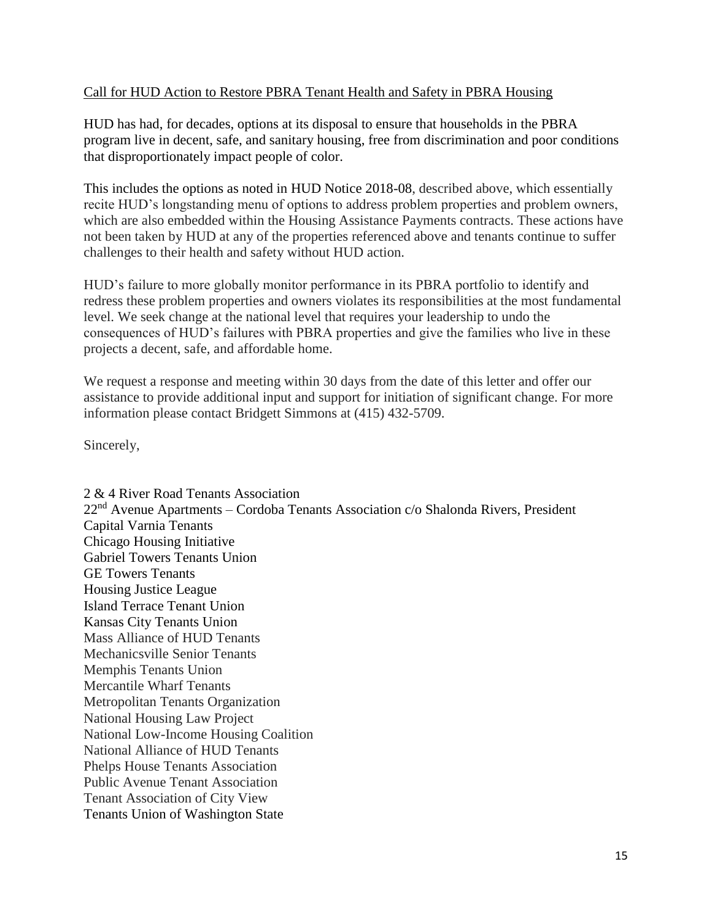## Call for HUD Action to Restore PBRA Tenant Health and Safety in PBRA Housing

HUD has had, for decades, options at its disposal to ensure that households in the PBRA program live in decent, safe, and sanitary housing, free from discrimination and poor conditions that disproportionately impact people of color.

This includes the options as noted in HUD Notice 2018-08, described above, which essentially recite HUD's longstanding menu of options to address problem properties and problem owners, which are also embedded within the Housing Assistance Payments contracts. These actions have not been taken by HUD at any of the properties referenced above and tenants continue to suffer challenges to their health and safety without HUD action.

HUD's failure to more globally monitor performance in its PBRA portfolio to identify and redress these problem properties and owners violates its responsibilities at the most fundamental level. We seek change at the national level that requires your leadership to undo the consequences of HUD's failures with PBRA properties and give the families who live in these projects a decent, safe, and affordable home.

We request a response and meeting within 30 days from the date of this letter and offer our assistance to provide additional input and support for initiation of significant change. For more information please contact Bridgett Simmons at (415) 432-5709.

Sincerely,

2 & 4 River Road Tenants Association 22nd Avenue Apartments – Cordoba Tenants Association c/o Shalonda Rivers, President Capital Varnia Tenants Chicago Housing Initiative Gabriel Towers Tenants Union GE Towers Tenants Housing Justice League Island Terrace Tenant Union Kansas City Tenants Union Mass Alliance of HUD Tenants Mechanicsville Senior Tenants Memphis Tenants Union Mercantile Wharf Tenants Metropolitan Tenants Organization National Housing Law Project National Low-Income Housing Coalition National Alliance of HUD Tenants Phelps House Tenants Association Public Avenue Tenant Association Tenant Association of City View Tenants Union of Washington State